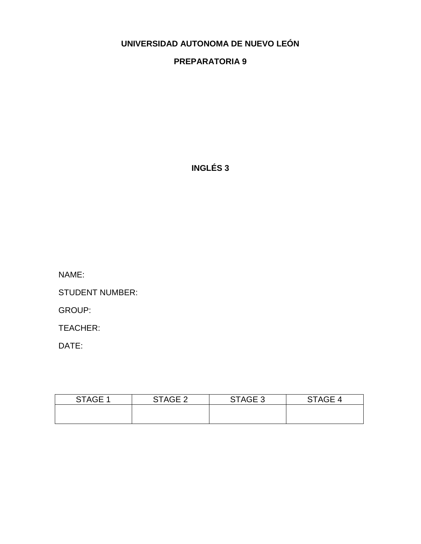# **UNIVERSIDAD AUTONOMA DE NUEVO LEÓN**

# **PREPARATORIA 9**

**INGLÉS 3**

NAME:

STUDENT NUMBER:

GROUP:

TEACHER:

DATE:

| STAGE 1 | STAGE 2 | STAGE 3 | STAGE 4 |
|---------|---------|---------|---------|
|         |         |         |         |
|         |         |         |         |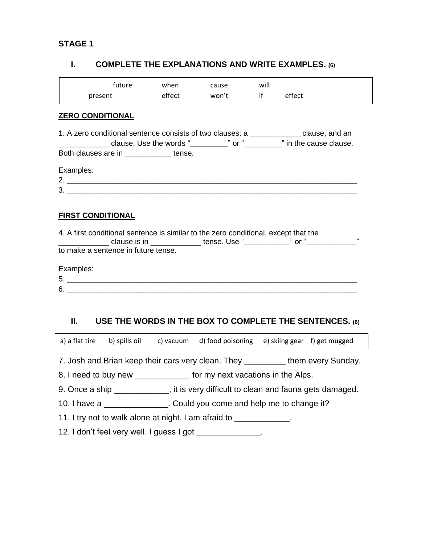### **STAGE 1**

### **I. COMPLETE THE EXPLANATIONS AND WRITE EXAMPLES. (6)**

| tuture  | when   | cause | will |        |
|---------|--------|-------|------|--------|
| present | effect | won't |      | effect |

#### **ZERO CONDITIONAL**

|                                           | 1. A zero conditional sentence consists of two clauses: a __________________clause, and an |  |  |
|-------------------------------------------|--------------------------------------------------------------------------------------------|--|--|
|                                           |                                                                                            |  |  |
| Both clauses are in ______________ tense. |                                                                                            |  |  |
| Examples:                                 |                                                                                            |  |  |
| 2.                                        |                                                                                            |  |  |
| 3.                                        |                                                                                            |  |  |
|                                           |                                                                                            |  |  |
|                                           |                                                                                            |  |  |

### **FIRST CONDITIONAL**

4. A first conditional sentence is similar to the zero conditional, except that the \_\_\_\_\_\_\_\_\_\_\_\_ clause is in \_\_\_\_\_\_\_\_\_\_\_\_ tense. Use "**\_\_\_\_\_\_\_\_\_\_\_**" or "**\_\_\_\_\_\_\_\_\_\_\_\_**" to make a sentence in future tense.

Examples:

- 5. \_\_\_\_\_\_\_\_\_\_\_\_\_\_\_\_\_\_\_\_\_\_\_\_\_\_\_\_\_\_\_\_\_\_\_\_\_\_\_\_\_\_\_\_\_\_\_\_\_\_\_\_\_\_\_\_\_\_\_\_\_\_\_\_\_\_\_\_\_
- 6. \_\_\_\_\_\_\_\_\_\_\_\_\_\_\_\_\_\_\_\_\_\_\_\_\_\_\_\_\_\_\_\_\_\_\_\_\_\_\_\_\_\_\_\_\_\_\_\_\_\_\_\_\_\_\_\_\_\_\_\_\_\_\_\_\_\_\_\_\_

# **II. USE THE WORDS IN THE BOX TO COMPLETE THE SENTENCES. (6)**

|                                                                                      |                                                                         |  | a) a flat tire b) spills oil c) vacuum d) food poisoning e) skiing gear f) get mugged |  |  |  |
|--------------------------------------------------------------------------------------|-------------------------------------------------------------------------|--|---------------------------------------------------------------------------------------|--|--|--|
|                                                                                      |                                                                         |  | 7. Josh and Brian keep their cars very clean. They ___________them every Sunday.      |  |  |  |
|                                                                                      | 8. I need to buy new _______________ for my next vacations in the Alps. |  |                                                                                       |  |  |  |
| 9. Once a ship ______________, it is very difficult to clean and fauna gets damaged. |                                                                         |  |                                                                                       |  |  |  |
| 10. I have a ________________. Could you come and help me to change it?              |                                                                         |  |                                                                                       |  |  |  |
| 11. I try not to walk alone at night. I am afraid to _____________.                  |                                                                         |  |                                                                                       |  |  |  |
| 12. I don't feel very well. I guess I got                                            |                                                                         |  |                                                                                       |  |  |  |
|                                                                                      |                                                                         |  |                                                                                       |  |  |  |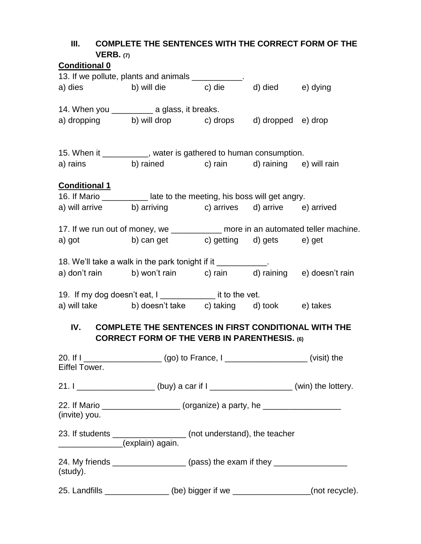| III.<br>VERB. (7)    | <b>COMPLETE THE SENTENCES WITH THE CORRECT FORM OF THE</b>                                                                                                                                           |  |  |
|----------------------|------------------------------------------------------------------------------------------------------------------------------------------------------------------------------------------------------|--|--|
| <b>Conditional 0</b> |                                                                                                                                                                                                      |  |  |
|                      | 13. If we pollute, plants and animals ___________.                                                                                                                                                   |  |  |
|                      | a) dies b) will die c) die d) died e) dying                                                                                                                                                          |  |  |
|                      | 14. When you _____________ a glass, it breaks.                                                                                                                                                       |  |  |
|                      | a) dropping b) will drop c) drops d) dropped e) drop                                                                                                                                                 |  |  |
|                      | 15. When it __________, water is gathered to human consumption.                                                                                                                                      |  |  |
|                      | a) rains b) rained c) rain d) raining e) will rain                                                                                                                                                   |  |  |
| <b>Conditional 1</b> |                                                                                                                                                                                                      |  |  |
|                      | 16. If Mario __________ late to the meeting, his boss will get angry.                                                                                                                                |  |  |
|                      | a) will arrive b) arriving c) arrives d) arrive e) arrived                                                                                                                                           |  |  |
|                      | 17. If we run out of money, we ___________ more in an automated teller machine.                                                                                                                      |  |  |
|                      | a) got b) can get c) getting d) gets e) get                                                                                                                                                          |  |  |
|                      | a) don't rain b) won't rain c) rain d) raining e) doesn't rain<br>19. If my dog doesn't eat, I ______________ it to the vet.                                                                         |  |  |
|                      | a) will take b) doesn't take c) taking d) took e) takes                                                                                                                                              |  |  |
| Eiffel Tower.        | IV. COMPLETE THE SENTENCES IN FIRST CONDITIONAL WITH THE<br><b>CORRECT FORM OF THE VERB IN PARENTHESIS. (6)</b><br>20. If I ______________________(go) to France, I _____________________(visit) the |  |  |
|                      | 21. I ___________________(buy) a car if I ___________________(win) the lottery.                                                                                                                      |  |  |
| (invite) you.        | 22. If Mario _____________________ (organize) a party, he ______________________                                                                                                                     |  |  |
|                      | 23. If students _________________ (not understand), the teacher<br>______________(explain) again.                                                                                                    |  |  |
| (study).             | 24. My friends ____________________ (pass) the exam if they ____________________                                                                                                                     |  |  |
|                      | 25. Landfills _________________ (be) bigger if we ___________________(not recycle).                                                                                                                  |  |  |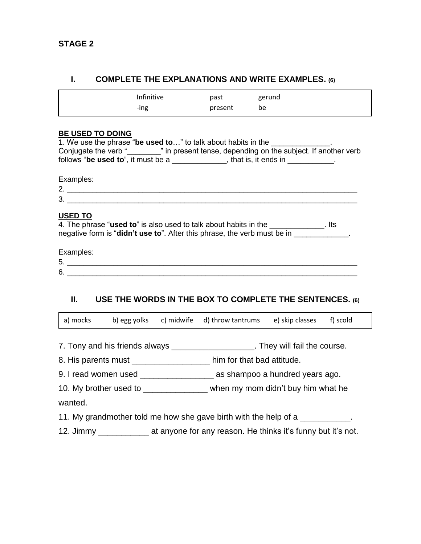### **I. COMPLETE THE EXPLANATIONS AND WRITE EXAMPLES. (6)**

#### **BE USED TO DOING**

| 1. We use the phrase "be used to" to talk about habits in the |                                                               |  |
|---------------------------------------------------------------|---------------------------------------------------------------|--|
| Conjugate the verb "                                          | n in present tense, depending on the subject. If another verb |  |
| follows "be used to", it must be a                            | , that is, it ends in                                         |  |

Examples:

|               | ____________ |
|---------------|--------------|
| ╭<br><u>.</u> |              |
| c<br>∼        |              |
|               |              |

#### **USED TO**

| 4. The phrase " <b>used to</b> " is also used to talk about habits in the         | . Its |  |
|-----------------------------------------------------------------------------------|-------|--|
| negative form is " <b>didn't use to</b> ". After this phrase, the verb must be in |       |  |

Examples:

| -<br>∽<br>J. |  |
|--------------|--|
| ⌒<br>∽<br>ັ  |  |

### **II. USE THE WORDS IN THE BOX TO COMPLETE THE SENTENCES. (6)**

| a) mocks |  | b) egg yolks c) midwife d) throw tantrums | e) skip classes f) scold |  |
|----------|--|-------------------------------------------|--------------------------|--|
|          |  |                                           |                          |  |

- 7. Tony and his friends always \_\_\_\_\_\_\_\_\_\_\_\_\_\_\_\_\_\_\_\_. They will fail the course.
- 8. His parents must be a set of the him for that bad attitude.
- 9. I read women used **business ago.** As shampoo a hundred years ago.
- 10. My brother used to \_\_\_\_\_\_\_\_\_\_\_\_\_\_ when my mom didn't buy him what he

wanted.

- 11. My grandmother told me how she gave birth with the help of a \_\_\_\_\_\_\_\_\_\_\_.
- 12. Jimmy \_\_\_\_\_\_\_\_\_\_\_\_\_ at anyone for any reason. He thinks it's funny but it's not.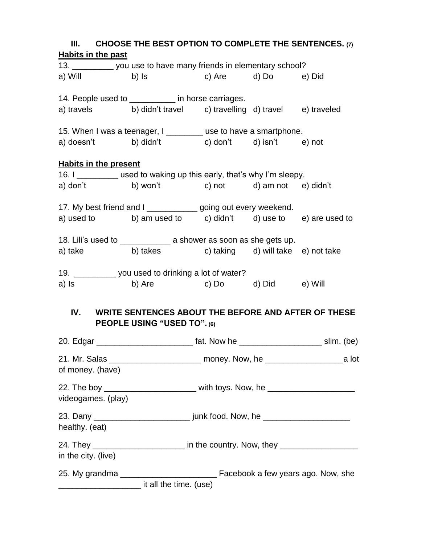| III. CHOOSE THE BEST OPTION TO COMPLETE THE SENTENCES. $(7)$                                                   |                                                         |  |  |
|----------------------------------------------------------------------------------------------------------------|---------------------------------------------------------|--|--|
| <b>Habits in the past</b>                                                                                      |                                                         |  |  |
| 13. __________ you use to have many friends in elementary school?                                              |                                                         |  |  |
| a) Will b) Is c) Are d) Do e) Did                                                                              |                                                         |  |  |
| 14. People used to __________ in horse carriages.                                                              |                                                         |  |  |
| a) travels b) didn't travel c) travelling d) travel e) traveled                                                |                                                         |  |  |
| 15. When I was a teenager, I ________ use to have a smartphone.                                                |                                                         |  |  |
| a) doesn't b) didn't c) don't d) isn't e) not                                                                  |                                                         |  |  |
| <b>Habits in the present</b>                                                                                   |                                                         |  |  |
| 16. I _________ used to waking up this early, that's why I'm sleepy.                                           |                                                         |  |  |
| a) don't b) won't c) not d) am not e) didn't                                                                   |                                                         |  |  |
| 17. My best friend and I _____________ going out every weekend.                                                |                                                         |  |  |
| a) used to $\qquad$ b) am used to $\qquad$ c) didn't $\qquad$ d) use to $\qquad$ e) are used to                |                                                         |  |  |
| 18. Lili's used to _______________ a shower as soon as she gets up.                                            |                                                         |  |  |
| a) take b) takes c) taking d) will take e) not take                                                            |                                                         |  |  |
| 19. ____________ you used to drinking a lot of water?                                                          |                                                         |  |  |
| a) Is and the set of the set of the set of the set of the set of the set of the set of the set of the set of t | b) Are c) Do d) Did e) Will                             |  |  |
|                                                                                                                | IV. WRITE SENTENCES ABOUT THE BEFORE AND AFTER OF THESE |  |  |
|                                                                                                                | PEOPLE USING "USED TO". (6)                             |  |  |
| 20. Edgar __________________________ fat. Now he ______________________ slim. (be)                             |                                                         |  |  |
| 21. Mr. Salas __________________________ money. Now, he _______________________a lot<br>of money. (have)       |                                                         |  |  |
| 22. The boy _________________________ with toys. Now, he _______________________                               |                                                         |  |  |
| videogames. (play)                                                                                             |                                                         |  |  |
|                                                                                                                |                                                         |  |  |
| healthy. (eat)                                                                                                 |                                                         |  |  |
| 24. They _______________________ in the country. Now, they ____________________<br>in the city. (live)         |                                                         |  |  |
|                                                                                                                |                                                         |  |  |
| _________________________ it all the time. (use)                                                               |                                                         |  |  |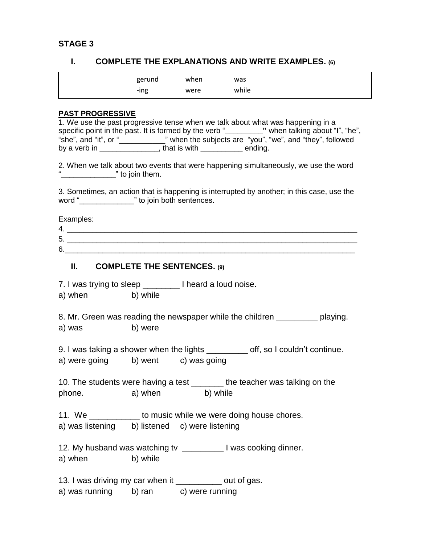#### **STAGE 3**

### **I. COMPLETE THE EXPLANATIONS AND WRITE EXAMPLES. (6)**

| gerund | when | was   |
|--------|------|-------|
| -ing   | were | while |

### **PAST PROGRESSIVE**

| וטטאונטשטח וטמ                                                                  |                      |                                                                                                |
|---------------------------------------------------------------------------------|----------------------|------------------------------------------------------------------------------------------------|
| 1. We use the past progressive tense when we talk about what was happening in a |                      |                                                                                                |
|                                                                                 |                      | specific point in the past. It is formed by the verb "_________" when talking about "I", "he", |
| "she", and "it", or "                                                           |                      | when the subjects are "you", "we", and "they", followed                                        |
| by a verb in <b>compared to be a</b>                                            | that is with ending. |                                                                                                |
|                                                                                 |                      |                                                                                                |
|                                                                                 |                      | 2. When we talk about two events that were happening simultaneously, we use the word           |

2. When we talk about two events that were happening simultaneously, we use the word "**\_\_\_\_\_\_\_\_\_\_\_\_\_**" to join them.

3. Sometimes, an action that is happening is interrupted by another; in this case, use the word "\_\_\_\_\_\_\_\_\_\_\_\_\_\_\_" to join both sentences.

Examples:

| . . |  |
|-----|--|
| È   |  |
|     |  |

#### **II. COMPLETE THE SENTENCES. (9)**

7. I was trying to sleep \_\_\_\_\_\_\_\_ I heard a loud noise.

| a) when | b) while |
|---------|----------|
|         |          |

8. Mr. Green was reading the newspaper while the children \_\_\_\_\_\_\_\_\_ playing. a) was b) were

9. I was taking a shower when the lights \_\_\_\_\_\_\_\_\_ off, so I couldn't continue. a) were going b) went c) was going

10. The students were having a test \_\_\_\_\_\_\_ the teacher was talking on the phone. a) when b) while

11. We \_\_\_\_\_\_\_\_\_\_\_\_ to music while we were doing house chores. a) was listening b) listened c) were listening

12. My husband was watching tv \_\_\_\_\_\_\_\_\_ I was cooking dinner. a) when b) while

13. I was driving my car when it \_\_\_\_\_\_\_\_\_\_ out of gas.

a) was running b) ran c) were running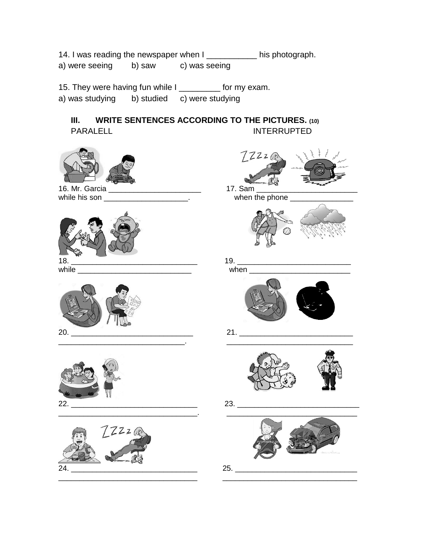14. I was reading the newspaper when I \_\_\_\_\_\_\_\_\_\_\_\_ his photograph. a) were seeing b) saw c) was seeing

15. They were having fun while I \_\_\_\_\_\_\_\_\_ for my exam. a) was studying b) studied c) were studying

**III. WRITE SENTENCES ACCORDING TO THE PICTURES. (10)** PARALELL INTERRUPTED











 $77220$ 16. Mr. Garcia \_\_\_\_\_\_\_\_\_\_\_\_\_\_\_\_\_\_\_\_\_\_ 17. Sam \_\_\_\_\_\_\_\_\_\_\_\_\_\_\_\_\_\_\_\_\_\_\_\_ while his son \_\_\_\_\_\_\_\_\_\_\_\_\_\_\_\_\_\_\_\_\_\_\_\_. when the phone \_\_\_\_\_\_\_\_\_\_\_\_\_\_\_\_\_\_\_\_\_\_\_\_\_ 18. \_\_\_\_\_\_\_\_\_\_\_\_\_\_\_\_\_\_\_\_\_\_\_\_\_\_\_\_\_\_ 19. \_\_\_\_\_\_\_\_\_\_\_\_\_\_\_\_\_\_\_\_\_\_\_\_\_\_\_ while \_\_\_\_\_\_\_\_\_\_\_\_\_\_\_\_\_\_\_\_\_\_\_\_\_\_\_ when \_\_\_\_\_\_\_\_\_\_\_\_\_\_\_\_\_\_\_\_\_\_\_\_ 20. \_\_\_\_\_\_\_\_\_\_\_\_\_\_\_\_\_\_\_\_\_\_\_\_\_\_\_\_\_ 21. \_\_\_\_\_\_\_\_\_\_\_\_\_\_\_\_\_\_\_\_\_\_\_\_\_\_\_ \_\_\_\_\_\_\_\_\_\_\_\_\_\_\_\_\_\_\_\_\_\_\_\_\_\_\_\_\_\_. \_\_\_\_\_\_\_\_\_\_\_\_\_\_\_\_\_\_\_\_\_\_\_\_\_\_\_\_\_\_ 22. \_\_\_\_\_\_\_\_\_\_\_\_\_\_\_\_\_\_\_\_\_\_\_\_\_\_\_\_\_\_ 23. \_\_\_\_\_\_\_\_\_\_\_\_\_\_\_\_\_\_\_\_\_\_\_\_\_\_\_\_\_ \_\_\_\_\_\_\_\_\_\_\_\_\_\_\_\_\_\_\_\_\_\_\_\_\_\_\_\_\_\_\_\_\_. \_\_\_\_\_\_\_\_\_\_\_\_\_\_\_\_\_\_\_\_\_\_\_\_\_\_\_\_\_\_\_ \_\_\_\_\_\_\_\_\_\_\_\_\_\_\_\_\_\_\_\_\_\_\_\_\_\_\_\_\_\_\_\_\_ \_\_\_\_\_\_\_\_\_\_\_\_\_\_\_\_\_\_\_\_\_\_\_\_\_\_\_\_\_\_\_\_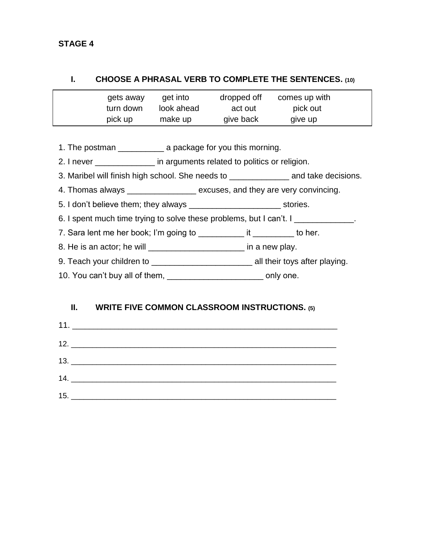### **STAGE 4**

### **I. CHOOSE A PHRASAL VERB TO COMPLETE THE SENTENCES. (10)**

| gets away | get into   | dropped off | comes up with |
|-----------|------------|-------------|---------------|
| turn down | look ahead | act out     | pick out      |
| pick up   | make up    | give back   | give up       |

1. The postman \_\_\_\_\_\_\_\_\_\_ a package for you this morning.

2. I never \_\_\_\_\_\_\_\_\_\_\_\_\_\_\_ in arguments related to politics or religion.

3. Maribel will finish high school. She needs to \_\_\_\_\_\_\_\_\_\_\_\_\_ and take decisions.

4. Thomas always \_\_\_\_\_\_\_\_\_\_\_\_\_\_\_\_\_ excuses, and they are very convincing.

5. I don't believe them; they always \_\_\_\_\_\_\_\_\_\_\_\_\_\_\_\_\_\_\_\_\_\_\_\_\_\_\_\_\_\_ stories.

6. I spent much time trying to solve these problems, but I can't. I

- 7. Sara lent me her book; I'm going to \_\_\_\_\_\_\_\_\_\_\_ it \_\_\_\_\_\_\_\_\_ to her.
- 8. He is an actor; he will \_\_\_\_\_\_\_\_\_\_\_\_\_\_\_\_\_\_\_\_\_\_\_\_\_\_ in a new play.
- 9. Teach your children to \_\_\_\_\_\_\_\_\_\_\_\_\_\_\_\_\_\_\_\_\_\_ all their toys after playing.
- 10. You can't buy all of them, \_\_\_\_\_\_\_\_\_\_\_\_\_\_\_\_\_\_\_\_\_\_\_\_\_\_\_ only one.

## **II. WRITE FIVE COMMON CLASSROOM INSTRUCTIONS. (5)**

| 15. |
|-----|